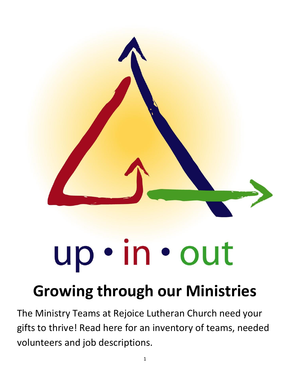

## up · in · out

## **Growing through our Ministries**

The Ministry Teams at Rejoice Lutheran Church need your gifts to thrive! Read here for an inventory of teams, needed volunteers and job descriptions.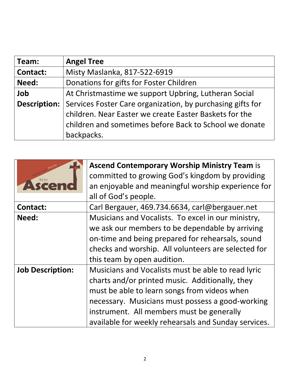| Team:           | <b>Angel Tree</b>                                                                                                    |
|-----------------|----------------------------------------------------------------------------------------------------------------------|
| <b>Contact:</b> | Misty Maslanka, 817-522-6919                                                                                         |
| Need:           | Donations for gifts for Foster Children                                                                              |
| Job             | At Christmastime we support Upbring, Lutheran Social                                                                 |
| Description:    | Services Foster Care organization, by purchasing gifts for<br>children. Near Easter we create Easter Baskets for the |
|                 | children and sometimes before Back to School we donate<br>backpacks.                                                 |

|                         | <b>Ascend Contemporary Worship Ministry Team is</b>  |
|-------------------------|------------------------------------------------------|
| Rejoice                 | committed to growing God's kingdom by providing      |
| ren                     | an enjoyable and meaningful worship experience for   |
|                         | all of God's people.                                 |
| <b>Contact:</b>         | Carl Bergauer, 469.734.6634, carl@bergauer.net       |
| Need:                   | Musicians and Vocalists. To excel in our ministry,   |
|                         | we ask our members to be dependable by arriving      |
|                         | on-time and being prepared for rehearsals, sound     |
|                         | checks and worship. All volunteers are selected for  |
|                         | this team by open audition.                          |
| <b>Job Description:</b> | Musicians and Vocalists must be able to read lyric   |
|                         | charts and/or printed music. Additionally, they      |
|                         | must be able to learn songs from videos when         |
|                         | necessary. Musicians must possess a good-working     |
|                         | instrument. All members must be generally            |
|                         | available for weekly rehearsals and Sunday services. |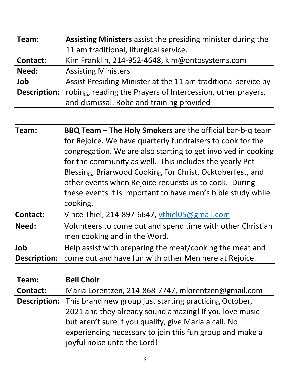| Team:               | <b>Assisting Ministers</b> assist the presiding minister during the |
|---------------------|---------------------------------------------------------------------|
|                     | 11 am traditional, liturgical service.                              |
| <b>Contact:</b>     | Kim Franklin, 214-952-4648, kim@ontosystems.com                     |
| Need:               | <b>Assisting Ministers</b>                                          |
| Job                 | Assist Presiding Minister at the 11 am traditional service by       |
| <b>Description:</b> | robing, reading the Prayers of Intercession, other prayers,         |
|                     | and dismissal. Robe and training provided                           |

| Team:        | BBQ Team - The Holy Smokers are the official bar-b-q team<br>for Rejoice. We have quarterly fundraisers to cook for the<br>congregation. We are also starting to get involved in cooking<br>for the community as well. This includes the yearly Pet<br>Blessing, Briarwood Cooking For Christ, Ocktoberfest, and<br>other events when Rejoice requests us to cook. During<br>these events it is important to have men's bible study while<br>cooking. |
|--------------|-------------------------------------------------------------------------------------------------------------------------------------------------------------------------------------------------------------------------------------------------------------------------------------------------------------------------------------------------------------------------------------------------------------------------------------------------------|
| Contact:     | Vince Thiel, 214-897-6647, $v$ thiel05@gmail.com                                                                                                                                                                                                                                                                                                                                                                                                      |
| Need:        | Volunteers to come out and spend time with other Christian<br>men cooking and in the Word.                                                                                                                                                                                                                                                                                                                                                            |
| Job          | Help assist with preparing the meat/cooking the meat and                                                                                                                                                                                                                                                                                                                                                                                              |
| Description: | come out and have fun with other Men here at Rejoice.                                                                                                                                                                                                                                                                                                                                                                                                 |

| Team:           | <b>Bell Choir</b>                                                          |
|-----------------|----------------------------------------------------------------------------|
| <b>Contact:</b> | Maria Lorentzen, 214-868-7747, mlorentzen@gmail.com                        |
|                 | <b>Description:</b> This brand new group just starting practicing October, |
|                 | 2021 and they already sound amazing! If you love music                     |
|                 | but aren't sure if you qualify, give Maria a call. No                      |
|                 | experiencing necessary to join this fun group and make a                   |
|                 | joyful noise unto the Lord!                                                |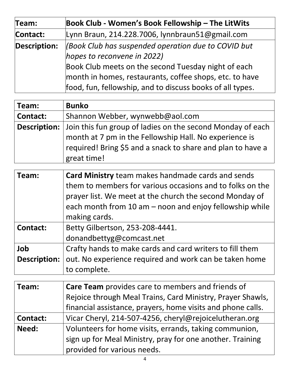| Team:               | Book Club - Women's Book Fellowship - The LitWits         |
|---------------------|-----------------------------------------------------------|
| Contact:            | Lynn Braun, 214.228.7006, lynnbraun51@gmail.com           |
| <b>Description:</b> | Book Club has suspended operation due to COVID but        |
|                     | hopes to reconvene in 2022)                               |
|                     | Book Club meets on the second Tuesday night of each       |
|                     | month in homes, restaurants, coffee shops, etc. to have   |
|                     | food, fun, fellowship, and to discuss books of all types. |

| Team:               | <b>Bunko</b>                                                |
|---------------------|-------------------------------------------------------------|
| <b>Contact:</b>     | Shannon Webber, wynwebb@aol.com                             |
| <b>Description:</b> | Join this fun group of ladies on the second Monday of each  |
|                     | month at 7 pm in the Fellowship Hall. No experience is      |
|                     | required! Bring \$5 and a snack to share and plan to have a |
|                     | great time!                                                 |

| Team:               | <b>Card Ministry</b> team makes handmade cards and sends  |
|---------------------|-----------------------------------------------------------|
|                     | them to members for various occasions and to folks on the |
|                     | prayer list. We meet at the church the second Monday of   |
|                     | each month from 10 am – noon and enjoy fellowship while   |
|                     | making cards.                                             |
| <b>Contact:</b>     | Betty Gilbertson, 253-208-4441.                           |
|                     | donandbettyg@comcast.net                                  |
| Job                 | Crafty hands to make cards and card writers to fill them  |
| <b>Description:</b> | out. No experience required and work can be taken home    |
|                     | to complete.                                              |

| Team:           | <b>Care Team</b> provides care to members and friends of    |
|-----------------|-------------------------------------------------------------|
|                 | Rejoice through Meal Trains, Card Ministry, Prayer Shawls,  |
|                 | financial assistance, prayers, home visits and phone calls. |
| <b>Contact:</b> | Vicar Cheryl, 214-507-4256, cheryl@rejoicelutheran.org      |
| Need:           | Volunteers for home visits, errands, taking communion,      |
|                 | sign up for Meal Ministry, pray for one another. Training   |
|                 | provided for various needs.                                 |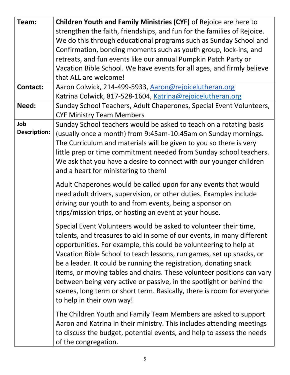| Team:                      | Children Youth and Family Ministries (CYF) of Rejoice are here to                                                                                                                                                                                                                                                                                                                                                                                                                                                                                                                                                     |
|----------------------------|-----------------------------------------------------------------------------------------------------------------------------------------------------------------------------------------------------------------------------------------------------------------------------------------------------------------------------------------------------------------------------------------------------------------------------------------------------------------------------------------------------------------------------------------------------------------------------------------------------------------------|
|                            | strengthen the faith, friendships, and fun for the families of Rejoice.<br>We do this through educational programs such as Sunday School and                                                                                                                                                                                                                                                                                                                                                                                                                                                                          |
|                            | Confirmation, bonding moments such as youth group, lock-ins, and                                                                                                                                                                                                                                                                                                                                                                                                                                                                                                                                                      |
|                            | retreats, and fun events like our annual Pumpkin Patch Party or                                                                                                                                                                                                                                                                                                                                                                                                                                                                                                                                                       |
|                            | Vacation Bible School. We have events for all ages, and firmly believe                                                                                                                                                                                                                                                                                                                                                                                                                                                                                                                                                |
|                            | that ALL are welcome!                                                                                                                                                                                                                                                                                                                                                                                                                                                                                                                                                                                                 |
| <b>Contact:</b>            | Aaron Colwick, 214-499-5933, Aaron@rejoicelutheran.org                                                                                                                                                                                                                                                                                                                                                                                                                                                                                                                                                                |
|                            | Katrina Colwick, 817-528-1604, Katrina@rejoicelutheran.org                                                                                                                                                                                                                                                                                                                                                                                                                                                                                                                                                            |
| Need:                      | Sunday School Teachers, Adult Chaperones, Special Event Volunteers,<br><b>CYF Ministry Team Members</b>                                                                                                                                                                                                                                                                                                                                                                                                                                                                                                               |
| Job<br><b>Description:</b> | Sunday School teachers would be asked to teach on a rotating basis<br>(usually once a month) from 9:45am-10:45am on Sunday mornings.<br>The Curriculum and materials will be given to you so there is very<br>little prep or time commitment needed from Sunday school teachers.<br>We ask that you have a desire to connect with our younger children<br>and a heart for ministering to them!                                                                                                                                                                                                                        |
|                            | Adult Chaperones would be called upon for any events that would<br>need adult drivers, supervision, or other duties. Examples include<br>driving our youth to and from events, being a sponsor on<br>trips/mission trips, or hosting an event at your house.                                                                                                                                                                                                                                                                                                                                                          |
|                            | Special Event Volunteers would be asked to volunteer their time,<br>talents, and treasures to aid in some of our events, in many different<br>opportunities. For example, this could be volunteering to help at<br>Vacation Bible School to teach lessons, run games, set up snacks, or<br>be a leader. It could be running the registration, donating snack<br>items, or moving tables and chairs. These volunteer positions can vary<br>between being very active or passive, in the spotlight or behind the<br>scenes, long term or short term. Basically, there is room for everyone<br>to help in their own way! |
|                            | The Children Youth and Family Team Members are asked to support<br>Aaron and Katrina in their ministry. This includes attending meetings<br>to discuss the budget, potential events, and help to assess the needs<br>of the congregation.                                                                                                                                                                                                                                                                                                                                                                             |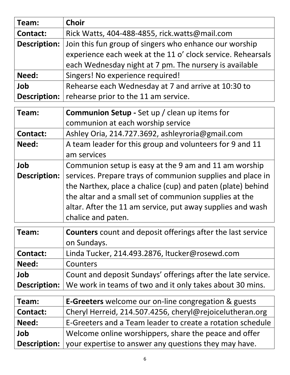| Team:               | <b>Choir</b>                                                |
|---------------------|-------------------------------------------------------------|
| <b>Contact:</b>     | Rick Watts, 404-488-4855, rick.watts@mail.com               |
| <b>Description:</b> | Join this fun group of singers who enhance our worship      |
|                     | experience each week at the 11 o' clock service. Rehearsals |
|                     | each Wednesday night at 7 pm. The nursery is available      |
| Need:               | Singers! No experience required!                            |
| Job                 | Rehearse each Wednesday at 7 and arrive at 10:30 to         |
| <b>Description:</b> | rehearse prior to the 11 am service.                        |

| Team:               | <b>Communion Setup - Set up / clean up items for</b>        |
|---------------------|-------------------------------------------------------------|
|                     | communion at each worship service                           |
| <b>Contact:</b>     | Ashley Oria, 214.727.3692, ashleyroria@gmail.com            |
| Need:               | A team leader for this group and volunteers for 9 and 11    |
|                     | am services                                                 |
| Job                 | Communion setup is easy at the 9 am and 11 am worship       |
| <b>Description:</b> | services. Prepare trays of communion supplies and place in  |
|                     | the Narthex, place a chalice (cup) and paten (plate) behind |
|                     | the altar and a small set of communion supplies at the      |
|                     | altar. After the 11 am service, put away supplies and wash  |
|                     | chalice and paten.                                          |

| Team:           | <b>Counters</b> count and deposit offerings after the last service      |
|-----------------|-------------------------------------------------------------------------|
|                 | on Sundays.                                                             |
| <b>Contact:</b> | Linda Tucker, 214.493.2876, ltucker@rosewd.com                          |
| Need:           | Counters                                                                |
| Job             | Count and deposit Sundays' offerings after the late service.            |
|                 | Description:   We work in teams of two and it only takes about 30 mins. |

| Team:           | <b>E-Greeters</b> welcome our on-line congregation & guests               |
|-----------------|---------------------------------------------------------------------------|
| <b>Contact:</b> | Cheryl Herreid, 214.507.4256, cheryl@rejoicelutheran.org                  |
| Need:           | E-Greeters and a Team leader to create a rotation schedule                |
| Job             | Welcome online worshippers, share the peace and offer                     |
|                 | <b>Description:</b> your expertise to answer any questions they may have. |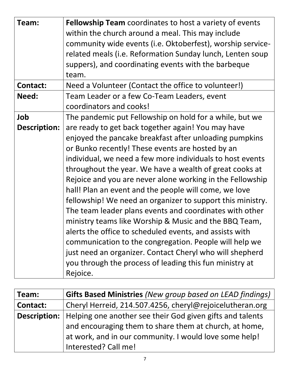| Team:               | <b>Fellowship Team</b> coordinates to host a variety of events<br>within the church around a meal. This may include<br>community wide events (i.e. Oktoberfest), worship service-<br>related meals (i.e. Reformation Sunday lunch, Lenten soup<br>suppers), and coordinating events with the barbeque<br>team.                                                                                                                                                                                                                                                                                                                                                                                                                                                                                                                                           |
|---------------------|----------------------------------------------------------------------------------------------------------------------------------------------------------------------------------------------------------------------------------------------------------------------------------------------------------------------------------------------------------------------------------------------------------------------------------------------------------------------------------------------------------------------------------------------------------------------------------------------------------------------------------------------------------------------------------------------------------------------------------------------------------------------------------------------------------------------------------------------------------|
| <b>Contact:</b>     | Need a Volunteer (Contact the office to volunteer!)                                                                                                                                                                                                                                                                                                                                                                                                                                                                                                                                                                                                                                                                                                                                                                                                      |
| Need:               | Team Leader or a few Co-Team Leaders, event<br>coordinators and cooks!                                                                                                                                                                                                                                                                                                                                                                                                                                                                                                                                                                                                                                                                                                                                                                                   |
| Job                 | The pandemic put Fellowship on hold for a while, but we                                                                                                                                                                                                                                                                                                                                                                                                                                                                                                                                                                                                                                                                                                                                                                                                  |
| <b>Description:</b> | are ready to get back together again! You may have<br>enjoyed the pancake breakfast after unloading pumpkins<br>or Bunko recently! These events are hosted by an<br>individual, we need a few more individuals to host events<br>throughout the year. We have a wealth of great cooks at<br>Rejoice and you are never alone working in the Fellowship<br>hall! Plan an event and the people will come, we love<br>fellowship! We need an organizer to support this ministry.<br>The team leader plans events and coordinates with other<br>ministry teams like Worship & Music and the BBQ Team,<br>alerts the office to scheduled events, and assists with<br>communication to the congregation. People will help we<br>just need an organizer. Contact Cheryl who will shepherd<br>you through the process of leading this fun ministry at<br>Rejoice. |

| Team:           | Gifts Based Ministries (New group based on LEAD findings)                       |
|-----------------|---------------------------------------------------------------------------------|
| <b>Contact:</b> | Cheryl Herreid, 214.507.4256, cheryl@rejoicelutheran.org                        |
|                 | <b>Description:</b>   Helping one another see their God given gifts and talents |
|                 | and encouraging them to share them at church, at home,                          |
|                 | at work, and in our community. I would love some help!                          |
|                 | Interested? Call me!                                                            |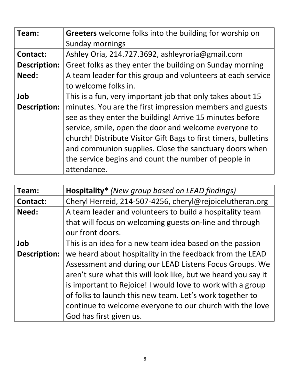| Team:               | Greeters welcome folks into the building for worship on         |
|---------------------|-----------------------------------------------------------------|
|                     | Sunday mornings                                                 |
| <b>Contact:</b>     | Ashley Oria, 214.727.3692, ashleyroria@gmail.com                |
| <b>Description:</b> | Greet folks as they enter the building on Sunday morning        |
| Need:               | A team leader for this group and volunteers at each service     |
|                     | to welcome folks in.                                            |
| Job                 | This is a fun, very important job that only takes about 15      |
| <b>Description:</b> | minutes. You are the first impression members and guests        |
|                     | see as they enter the building! Arrive 15 minutes before        |
|                     | service, smile, open the door and welcome everyone to           |
|                     | church! Distribute Visitor Gift Bags to first timers, bulletins |
|                     | and communion supplies. Close the sanctuary doors when          |
|                     | the service begins and count the number of people in            |
|                     | attendance.                                                     |

| Team:               | Hospitality* (New group based on LEAD findings)               |
|---------------------|---------------------------------------------------------------|
| <b>Contact:</b>     | Cheryl Herreid, 214-507-4256, cheryl@rejoicelutheran.org      |
| Need:               | A team leader and volunteers to build a hospitality team      |
|                     | that will focus on welcoming guests on-line and through       |
|                     | our front doors.                                              |
| Job                 | This is an idea for a new team idea based on the passion      |
| <b>Description:</b> | we heard about hospitality in the feedback from the LEAD      |
|                     | Assessment and during our LEAD Listens Focus Groups. We       |
|                     | aren't sure what this will look like, but we heard you say it |
|                     | is important to Rejoice! I would love to work with a group    |
|                     | of folks to launch this new team. Let's work together to      |
|                     | continue to welcome everyone to our church with the love      |
|                     | God has first given us.                                       |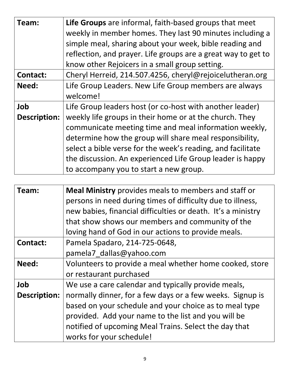| Team:               | Life Groups are informal, faith-based groups that meet        |
|---------------------|---------------------------------------------------------------|
|                     | weekly in member homes. They last 90 minutes including a      |
|                     |                                                               |
|                     | simple meal, sharing about your week, bible reading and       |
|                     | reflection, and prayer. Life groups are a great way to get to |
|                     | know other Rejoicers in a small group setting.                |
| <b>Contact:</b>     | Cheryl Herreid, 214.507.4256, cheryl@rejoicelutheran.org      |
| Need:               | Life Group Leaders. New Life Group members are always         |
|                     | welcome!                                                      |
| Job                 | Life Group leaders host (or co-host with another leader)      |
| <b>Description:</b> | weekly life groups in their home or at the church. They       |
|                     | communicate meeting time and meal information weekly,         |
|                     | determine how the group will share meal responsibility,       |
|                     | select a bible verse for the week's reading, and facilitate   |
|                     | the discussion. An experienced Life Group leader is happy     |
|                     | to accompany you to start a new group.                        |

| Team:               | <b>Meal Ministry</b> provides meals to members and staff or<br>persons in need during times of difficulty due to illness,<br>new babies, financial difficulties or death. It's a ministry<br>that show shows our members and community of the                   |
|---------------------|-----------------------------------------------------------------------------------------------------------------------------------------------------------------------------------------------------------------------------------------------------------------|
|                     | loving hand of God in our actions to provide meals.                                                                                                                                                                                                             |
| <b>Contact:</b>     | Pamela Spadaro, 214-725-0648,<br>pamela7 dallas@yahoo.com                                                                                                                                                                                                       |
| Need:               | Volunteers to provide a meal whether home cooked, store<br>or restaurant purchased                                                                                                                                                                              |
| Job                 | We use a care calendar and typically provide meals,                                                                                                                                                                                                             |
| <b>Description:</b> | normally dinner, for a few days or a few weeks. Signup is<br>based on your schedule and your choice as to meal type<br>provided. Add your name to the list and you will be<br>notified of upcoming Meal Trains. Select the day that<br>works for your schedule! |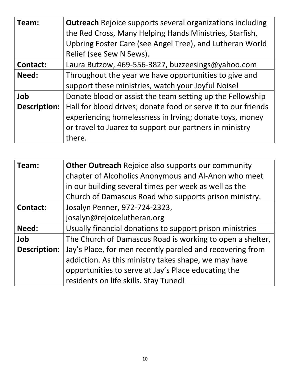| Team:               | <b>Outreach</b> Rejoice supports several organizations including |
|---------------------|------------------------------------------------------------------|
|                     | the Red Cross, Many Helping Hands Ministries, Starfish,          |
|                     | Upbring Foster Care (see Angel Tree), and Lutheran World         |
|                     | Relief (see Sew N Sews).                                         |
| <b>Contact:</b>     | Laura Butzow, 469-556-3827, buzzeesings@yahoo.com                |
| Need:               | Throughout the year we have opportunities to give and            |
|                     | support these ministries, watch your Joyful Noise!               |
| Job                 | Donate blood or assist the team setting up the Fellowship        |
| <b>Description:</b> | Hall for blood drives; donate food or serve it to our friends    |
|                     | experiencing homelessness in Irving; donate toys, money          |
|                     | or travel to Juarez to support our partners in ministry          |
|                     | there.                                                           |

| Team:               | Other Outreach Rejoice also supports our community        |
|---------------------|-----------------------------------------------------------|
|                     | chapter of Alcoholics Anonymous and Al-Anon who meet      |
|                     | in our building several times per week as well as the     |
|                     | Church of Damascus Road who supports prison ministry.     |
| <b>Contact:</b>     | Josalyn Penner, 972-724-2323,                             |
|                     | josalyn@rejoicelutheran.org                               |
| Need:               | Usually financial donations to support prison ministries  |
| Job                 | The Church of Damascus Road is working to open a shelter, |
| <b>Description:</b> | Jay's Place, for men recently paroled and recovering from |
|                     | addiction. As this ministry takes shape, we may have      |
|                     | opportunities to serve at Jay's Place educating the       |
|                     | residents on life skills. Stay Tuned!                     |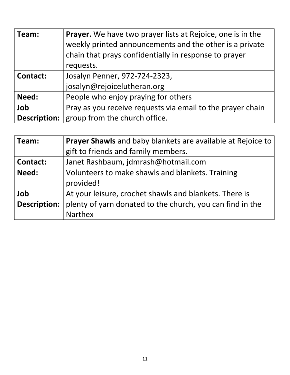| Team:               | Prayer. We have two prayer lists at Rejoice, one is in the<br>weekly printed announcements and the other is a private<br>chain that prays confidentially in response to prayer<br>requests. |
|---------------------|---------------------------------------------------------------------------------------------------------------------------------------------------------------------------------------------|
| <b>Contact:</b>     | Josalyn Penner, 972-724-2323,                                                                                                                                                               |
|                     | josalyn@rejoicelutheran.org                                                                                                                                                                 |
| Need:               | People who enjoy praying for others                                                                                                                                                         |
| Job                 | Pray as you receive requests via email to the prayer chain                                                                                                                                  |
| <b>Description:</b> | group from the church office.                                                                                                                                                               |

| Team:               | Prayer Shawls and baby blankets are available at Rejoice to |
|---------------------|-------------------------------------------------------------|
|                     | gift to friends and family members.                         |
| <b>Contact:</b>     | Janet Rashbaum, jdmrash@hotmail.com                         |
| Need:               | Volunteers to make shawls and blankets. Training            |
|                     | provided!                                                   |
| Job                 | At your leisure, crochet shawls and blankets. There is      |
| <b>Description:</b> | plenty of yarn donated to the church, you can find in the   |
|                     | <b>Narthex</b>                                              |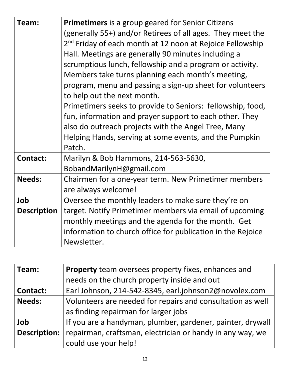| Team:              | <b>Primetimers</b> is a group geared for Senior Citizens              |
|--------------------|-----------------------------------------------------------------------|
|                    | (generally 55+) and/or Retirees of all ages. They meet the            |
|                    | 2 <sup>nd</sup> Friday of each month at 12 noon at Rejoice Fellowship |
|                    | Hall. Meetings are generally 90 minutes including a                   |
|                    | scrumptious lunch, fellowship and a program or activity.              |
|                    | Members take turns planning each month's meeting,                     |
|                    | program, menu and passing a sign-up sheet for volunteers              |
|                    | to help out the next month.                                           |
|                    | Primetimers seeks to provide to Seniors: fellowship, food,            |
|                    | fun, information and prayer support to each other. They               |
|                    | also do outreach projects with the Angel Tree, Many                   |
|                    | Helping Hands, serving at some events, and the Pumpkin                |
|                    | Patch.                                                                |
| <b>Contact:</b>    | Marilyn & Bob Hammons, 214-563-5630,                                  |
|                    | BobandMarilynH@gmail.com                                              |
| <b>Needs:</b>      | Chairmen for a one-year term. New Primetimer members                  |
|                    | are always welcome!                                                   |
| Job                | Oversee the monthly leaders to make sure they're on                   |
| <b>Description</b> | target. Notify Primetimer members via email of upcoming               |
|                    | monthly meetings and the agenda for the month. Get                    |
|                    | information to church office for publication in the Rejoice           |
|                    | Newsletter.                                                           |

| <b>Property</b> team oversees property fixes, enhances and |
|------------------------------------------------------------|
| needs on the church property inside and out                |
| Earl Johnson, 214-542-8345, earl.johnson2@novolex.com      |
| Volunteers are needed for repairs and consultation as well |
| as finding repairman for larger jobs                       |
| If you are a handyman, plumber, gardener, painter, drywall |
| repairman, craftsman, electrician or handy in any way, we  |
| could use your help!                                       |
|                                                            |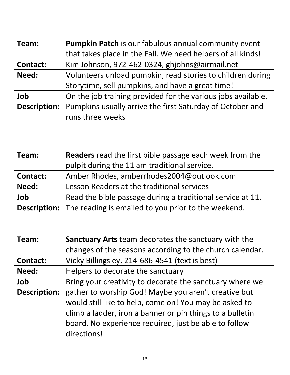| Team:               | <b>Pumpkin Patch</b> is our fabulous annual community event  |
|---------------------|--------------------------------------------------------------|
|                     | that takes place in the Fall. We need helpers of all kinds!  |
| <b>Contact:</b>     | Kim Johnson, 972-462-0324, ghjohns@airmail.net               |
| Need:               | Volunteers unload pumpkin, read stories to children during   |
|                     | Storytime, sell pumpkins, and have a great time!             |
| Job                 | On the job training provided for the various jobs available. |
| <b>Description:</b> | Pumpkins usually arrive the first Saturday of October and    |
|                     | runs three weeks                                             |

| Team:           | <b>Readers</b> read the first bible passage each week from the          |
|-----------------|-------------------------------------------------------------------------|
|                 | pulpit during the 11 am traditional service.                            |
| <b>Contact:</b> | Amber Rhodes, amberrhodes2004@outlook.com                               |
| Need:           | Lesson Readers at the traditional services                              |
| Job             | Read the bible passage during a traditional service at 11.              |
|                 | <b>Description:</b> The reading is emailed to you prior to the weekend. |

| Team:               | Sanctuary Arts team decorates the sanctuary with the      |
|---------------------|-----------------------------------------------------------|
|                     | changes of the seasons according to the church calendar.  |
| <b>Contact:</b>     | Vicky Billingsley, 214-686-4541 (text is best)            |
| Need:               | Helpers to decorate the sanctuary                         |
| Job                 | Bring your creativity to decorate the sanctuary where we  |
| <b>Description:</b> | gather to worship God! Maybe you aren't creative but      |
|                     | would still like to help, come on! You may be asked to    |
|                     | climb a ladder, iron a banner or pin things to a bulletin |
|                     | board. No experience required, just be able to follow     |
|                     | directions!                                               |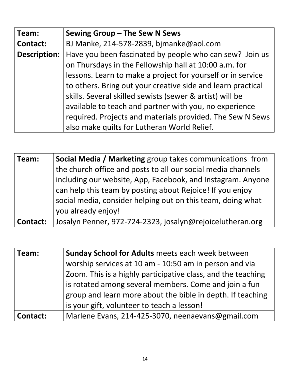| Team:               | Sewing Group - The Sew N Sews                               |
|---------------------|-------------------------------------------------------------|
| <b>Contact:</b>     | BJ Manke, 214-578-2839, bjmanke@aol.com                     |
| <b>Description:</b> | Have you been fascinated by people who can sew? Join us     |
|                     | on Thursdays in the Fellowship hall at 10:00 a.m. for       |
|                     | lessons. Learn to make a project for yourself or in service |
|                     | to others. Bring out your creative side and learn practical |
|                     | skills. Several skilled sewists (sewer & artist) will be    |
|                     | available to teach and partner with you, no experience      |
|                     | required. Projects and materials provided. The Sew N Sews   |
|                     | also make quilts for Lutheran World Relief.                 |

| Team:    | <b>Social Media / Marketing group takes communications from</b> |
|----------|-----------------------------------------------------------------|
|          | the church office and posts to all our social media channels    |
|          | including our website, App, Facebook, and Instagram. Anyone     |
|          | can help this team by posting about Rejoice! If you enjoy       |
|          | social media, consider helping out on this team, doing what     |
|          | you already enjoy!                                              |
| Contact: | Josalyn Penner, 972-724-2323, josalyn@rejoicelutheran.org       |

| Team:    | Sunday School for Adults meets each week between             |
|----------|--------------------------------------------------------------|
|          | worship services at 10 am - 10:50 am in person and via       |
|          | Zoom. This is a highly participative class, and the teaching |
|          | is rotated among several members. Come and join a fun        |
|          | group and learn more about the bible in depth. If teaching   |
|          | is your gift, volunteer to teach a lesson!                   |
| Contact: | Marlene Evans, 214-425-3070, neenaevans@gmail.com            |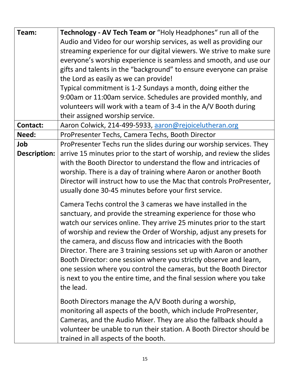| Team:                      | Technology - AV Tech Team or "Holy Headphones" run all of the<br>Audio and Video for our worship services, as well as providing our<br>streaming experience for our digital viewers. We strive to make sure<br>everyone's worship experience is seamless and smooth, and use our<br>gifts and talents in the "background" to ensure everyone can praise<br>the Lord as easily as we can provide!<br>Typical commitment is 1-2 Sundays a month, doing either the<br>9:00am or 11:00am service. Schedules are provided monthly, and<br>volunteers will work with a team of 3-4 in the A/V Booth during<br>their assigned worship service.          |
|----------------------------|--------------------------------------------------------------------------------------------------------------------------------------------------------------------------------------------------------------------------------------------------------------------------------------------------------------------------------------------------------------------------------------------------------------------------------------------------------------------------------------------------------------------------------------------------------------------------------------------------------------------------------------------------|
| Contact:                   | Aaron Colwick, 214-499-5933, aaron@rejoicelutheran.org                                                                                                                                                                                                                                                                                                                                                                                                                                                                                                                                                                                           |
| Need:                      | ProPresenter Techs, Camera Techs, Booth Director                                                                                                                                                                                                                                                                                                                                                                                                                                                                                                                                                                                                 |
| Job<br><b>Description:</b> | ProPresenter Techs run the slides during our worship services. They<br>arrive 15 minutes prior to the start of worship, and review the slides<br>with the Booth Director to understand the flow and intricacies of<br>worship. There is a day of training where Aaron or another Booth<br>Director will instruct how to use the Mac that controls ProPresenter,<br>usually done 30-45 minutes before your first service.                                                                                                                                                                                                                         |
|                            | Camera Techs control the 3 cameras we have installed in the<br>sanctuary, and provide the streaming experience for those who<br>watch our services online. They arrive 25 minutes prior to the start<br>of worship and review the Order of Worship, adjust any presets for<br>the camera, and discuss flow and intricacies with the Booth<br>Director. There are 3 training sessions set up with Aaron or another<br>Booth Director: one session where you strictly observe and learn,<br>one session where you control the cameras, but the Booth Director<br>is next to you the entire time, and the final session where you take<br>the lead. |
|                            | Booth Directors manage the A/V Booth during a worship,<br>monitoring all aspects of the booth, which include ProPresenter,<br>Cameras, and the Audio Mixer. They are also the fallback should a<br>volunteer be unable to run their station. A Booth Director should be<br>trained in all aspects of the booth.                                                                                                                                                                                                                                                                                                                                  |